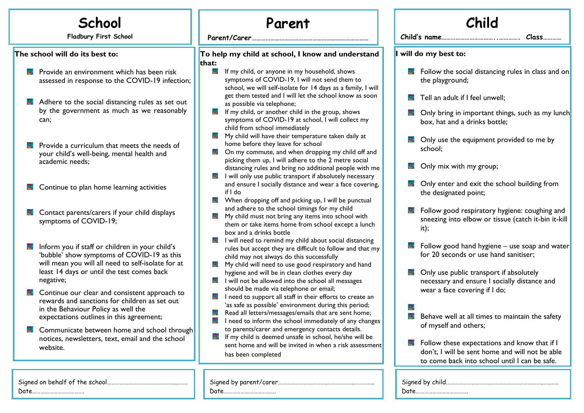## **School**

**Fladbury First School**

**The school will do its best to:**

- **P** Provide an environment which has been risk assessed in response to the COVID-19 infection;
- 日 Adhere to the social distancing rules as set out by the government as much as we reasonably can;
- $F$  Provide a curriculum that meets the needs of your child's well-being, mental health and academic needs;
- Continue to plan home learning activities
- **E** Contact parents/carers if your child displays symptoms of COVID-19;
- Inform you if staff or children in your child's 'bubble' show symptoms of COVID-19 as this will mean you will all need to self-isolate for at least 14 days or until the test comes back negative;
- **E** Continue our clear and consistent approach to rewards and sanctions for children as set out in the Behaviour Policy as well the expectations outlines in this agreement;
- **E** Communicate between home and school through notices, newsletters, text, email and the school website.

| Date.<br> |
|-----------|

## **Parent**

**Parent/Carer…………………………………………………………………**

## **… To help my child at school, I know and understand that:**

- $\blacksquare$  If my child, or anyone in my household, shows symptoms of COVID-19, I will not send them to school, we will self-isolate for 14 days as a family, get them tested and I will let the school know as as possible via telephone;
- $\blacksquare$  If my child, or another child in the group, shows symptoms of COVID-19 at school, I will collect m child from school immediately
- $\blacksquare$  My child will have their temperature taken daily at home before they leave for school
- $\blacksquare$  On my commute, and when dropping my child of picking them up, I will adhere to the 2 metre soci distancing rules and bring no additional people with
- $\blacksquare$  I will only use public transport if absolutely necess and ensure I socially distance and wear a face cover if I do
- $\blacksquare$  When dropping off and picking up, I will be punctu and adhere to the school timings for my child
- $\blacksquare$  My child must not bring any items into school with them or take items home from school except a lu box and a drinks bottle
- $\blacksquare$  I will need to remind my child about social distanc rules but accept they are difficult to follow and th child may not always do this successfully
- My child will need to use good respiratory and ha hygiene and will be in clean clothes every day
- $\blacksquare$  I will not be allowed into the school all messages should be made via telephone or email;
- $\blacksquare$  I need to support all staff in their efforts to create 'as safe as possible' environment during this perio
- 耳 Read all letters/messages/emails that are sent hon
- I need to inform the school immediately of any ch 国 to parents/carer and emergency contacts details.
- $\blacksquare$  If my child is deemed unsafe in school, he/she will sent home and will be invited in when a risk asses has been completed

Signed by parent/carer…………………………….………………..…………..

Date……………………………….

|                        | Child                                                                                                                                                 |
|------------------------|-------------------------------------------------------------------------------------------------------------------------------------------------------|
|                        | Child's name<br>$Class_{\dots}$                                                                                                                       |
| tand                   | I will do my best to:                                                                                                                                 |
| l will                 | Follow the social distancing rules in class and on<br>E.<br>the playground;                                                                           |
| soon                   | Tell an adult if I feel unwell;<br>급.                                                                                                                 |
| ny                     | Only bring in important things, such as my lunch<br>EF.<br>box, hat and a drinks bottle;                                                              |
| ιt<br>f and            | Only use the equipment provided to me by<br>ler-<br>school;                                                                                           |
| ial<br>ith me          | Only mix with my group;                                                                                                                               |
| sary<br>ering,<br>ual: | Only enter and exit the school building from<br>E.<br>the designated point;                                                                           |
| th.<br>unch            | Follow good respiratory hygiene: coughing and<br>Ħ.<br>sneezing into elbow or tissue (catch it-bin it-kill<br>it);                                    |
| cing<br>iat my         | 斸<br>Follow good hand hygiene - use soap and water<br>for 20 seconds or use hand sanitiser;                                                           |
| ınd<br>e an            | er i<br>Only use public transport if absolutely<br>necessary and ensure I socially distance and<br>wear a face covering if I do;                      |
| d:<br>ne;<br>aanges    | 日.<br>国<br>Behave well at all times to maintain the safety<br>of myself and others;                                                                   |
| l be<br>ssment         | 卧<br>Follow these expectations and know that if I<br>don't, I will be sent home and will not be able<br>to come back into school until I can be safe. |